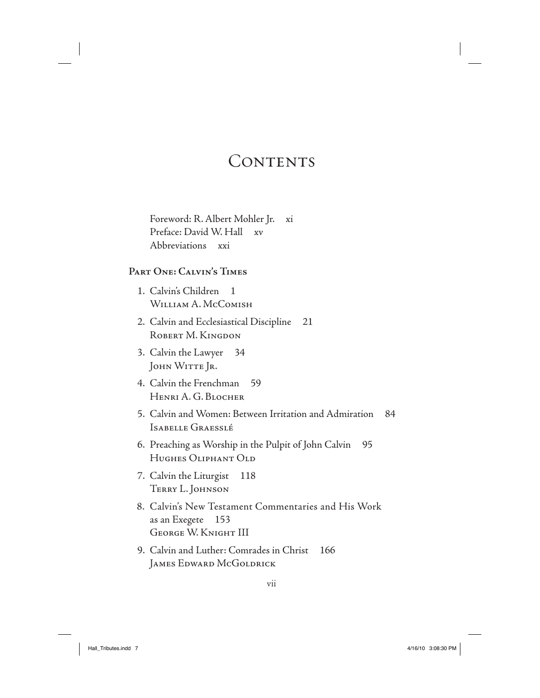## CONTENTS

Foreword: R. Albert Mohler Jr. xi Preface: David W. Hall xv Abbreviations xxi

## PART ONE: CALVIN'S TIMES

- 1. Calvin's Children 1 WILLIAM A. McComish
- 2. Calvin and Ecclesiastical Discipline 21 ROBERT M. KINGDON
- 3. Calvin the Lawyer 34 JOHN WITTE JR.
- 4. Calvin the Frenchman 59 HENRI A. G. BLOCHER
- 5. Calvin and Women: Between Irritation and Admiration 84 ISABELLE GRAESSLÉ
- 6. Preaching as Worship in the Pulpit of John Calvin 95 HUGHES OLIPHANT OLD
- 7. Calvin the Liturgist 118 TERRY L. JOHNSON
- 8. Calvin's New Testament Commentaries and His Work as an Exegete 153 GEORGE W. KNIGHT III
- 9. Calvin and Luther: Comrades in Christ 166 JAMES EDWARD MCGOLDRICK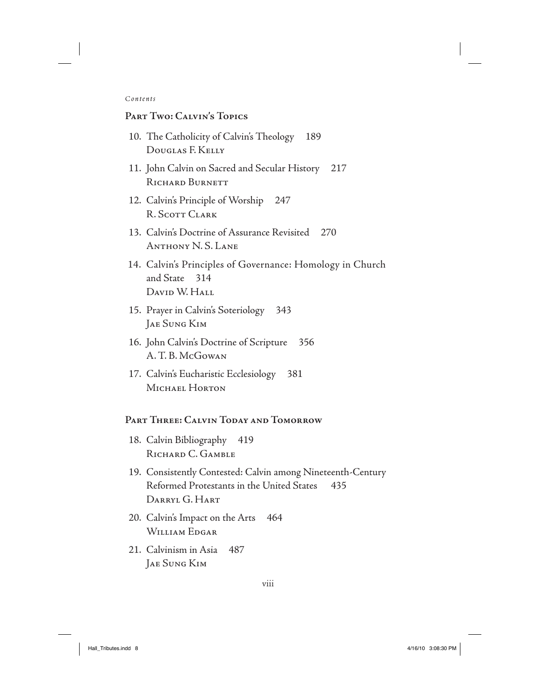#### $Contents$

## PART TWO: CALVIN'S TOPICS

- 10. The Catholicity of Calvin's Theology 189 DOUGLAS F. KELLY
- 11. John Calvin on Sacred and Secular History 217 RICHARD BURNETT
- 12. Calvin's Principle of Worship 247 R. SCOTT CLARK
- 13. Calvin's Doctrine of Assurance Revisited 270 ANTHONY N.S. LANE
- 14. Calvin's Principles of Governance: Homology in Church and State 314 DAVID W. HALL
- 15. Prayer in Calvin's Soteriology 343 JAE SUNG KIM
- 16. John Calvin's Doctrine of Scripture 356 A. T. B. McGowan
- 17. Calvin's Eucharistic Ecclesiology 381 MICHAEL HORTON

## **PART THREE: CALVIN TODAY AND TOMORROW**

- 18. Calvin Bibliography 419 RICHARD C. GAMBLE
- 19. Consistently Contested: Calvin among Nineteenth-Century Reformed Protestants in the United States 435 DARRYL G. HART
- 20. Calvin's Impact on the Arts 464 WILLIAM EDGAR
- 21. Calvinism in Asia 487 JAE SUNG KIM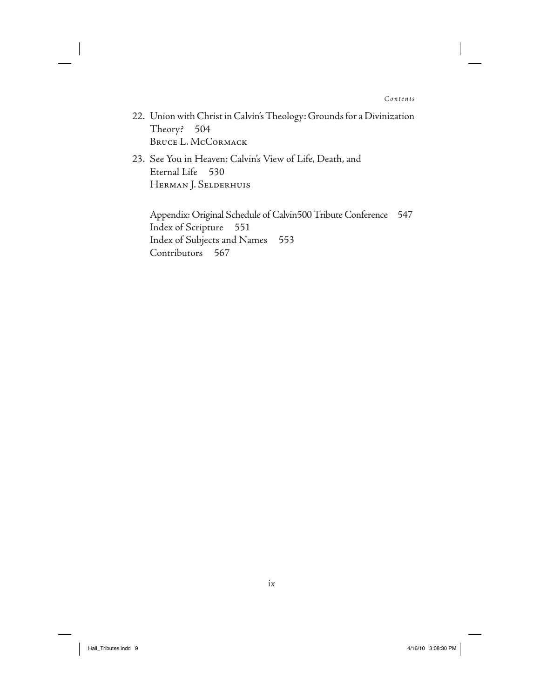$Contents$ 

- 22. Union with Christ in Calvin's Theology: Grounds for a Divinization Theory? 504 BRUCE L. McCORMACK
- 23. See You in Heaven: Calvin's View of Life, Death, and Eternal Life 530 HERMAN J. SELDERHUIS

Appendix: Original Schedule of Calvin500 Tribute Conference 547 Index of Scripture 551 Index of Subjects and Names 553 Contributors 567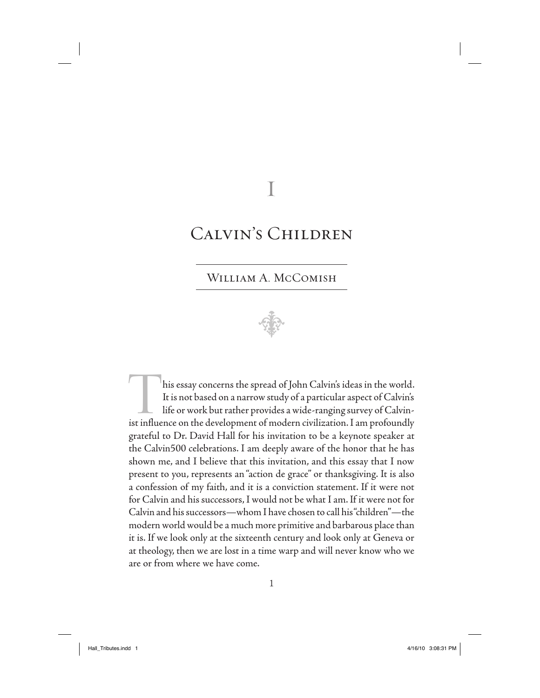# $\overline{I}$

# CALVIN'S CHILDREN

## WILLIAM A. MCCOMISH



his essay concerns the spread of John Calvin's ideas in the world. It is not based on a narrow study of a particular aspect of Calvin's life or work but rather provides a wide-ranging survey of Calvinist influence on the development of modern civilization.I am profoundly grateful to Dr. David Hall for his invitation to be a keynote speaker at the Calvin500 celebrations. I am deeply aware of the honor that he has shown me, and I believe that this invitation, and this essay that I now present to you, represents an "action de grace" or thanksgiving. It is also a confession of my faith, and it is a conviction statement. If it were not for Calvin and his successors,I would not be what I am.If it were not for Calvin and his successors—whom I have chosen to call his "children"—the modern world would be a much more primitive and barbarous place than it is. If we look only at the sixteenth century and look only at Geneva or at theology, then we are lost in a time warp and will never know who we are or from where we have come.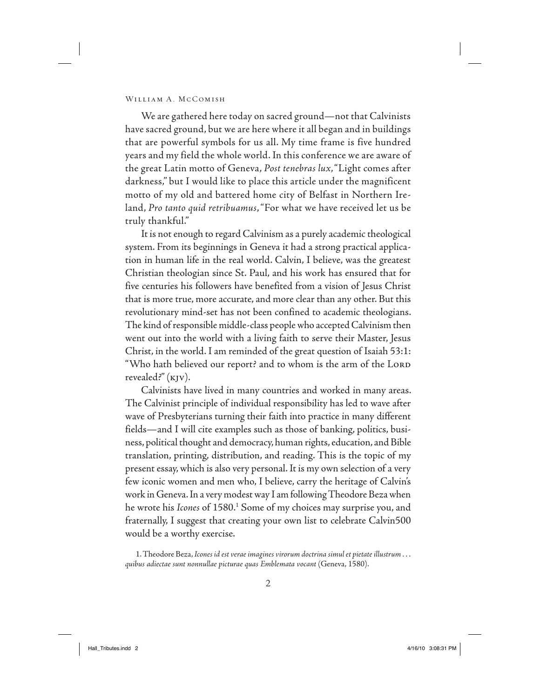We are gathered here today on sacred ground—not that Calvinists have sacred ground, but we are here where it all began and in buildings that are powerful symbols for us all. My time frame is five hundred years and my field the whole world.In this conference we are aware of the great Latin motto of Geneva, Post tenebras lux,"Light comes after darkness," but I would like to place this article under the magnificent motto of my old and battered home city of Belfast in Northern Ireland, Pro tanto quid retribuamus,"For what we have received let us be truly thankful."

It is not enough to regard Calvinism as a purely academic theological system. From its beginnings in Geneva it had a strong practical application in human life in the real world. Calvin, I believe, was the greatest Christian theologian since St. Paul, and his work has ensured that for five centuries his followers have benefited from a vision of Jesus Christ that is more true, more accurate, and more clear than any other. But this revolutionary mind-set has not been confined to academic theologians. The kind of responsible middle-class peoplewho acceptedCalvinism then went out into the world with a living faith to serve their Master, Jesus Christ, in the world.I am reminded of the great question of Isaiah 53:1: "Who hath believed our report? and to whom is the arm of the L revealed?"  $(\kappa_{\rm IV})$ .

Calvinists have lived in many countries and worked in many areas. The Calvinist principle of individual responsibility has led to wave after wave of Presbyterians turning their faith into practice in many different fields—and I will cite examples such as those of banking, politics, business, political thought and democracy, human rights, education, and Bible translation, printing, distribution, and reading. This is the topic of my present essay,which is also very personal.It is my own selection of a very few iconic women and men who, I believe, carry the heritage of Calvin's work in Geneva.In a verymodestway I amfollowingTheodore Bezawhen he wrote his *Icones* of 1580.<sup>1</sup> Some of my choices may surprise you, and fraternally, I suggest that creating your own list to celebrate Calvin500 would be a worthy exercise.

<sup>1.</sup> Theodore Beza, Icones id est verae imagines virorum doctrina simul et pietate illustrum . . . quibus adiectae sunt nonnullae picturae quas Emblemata vocant (Geneva, 1580).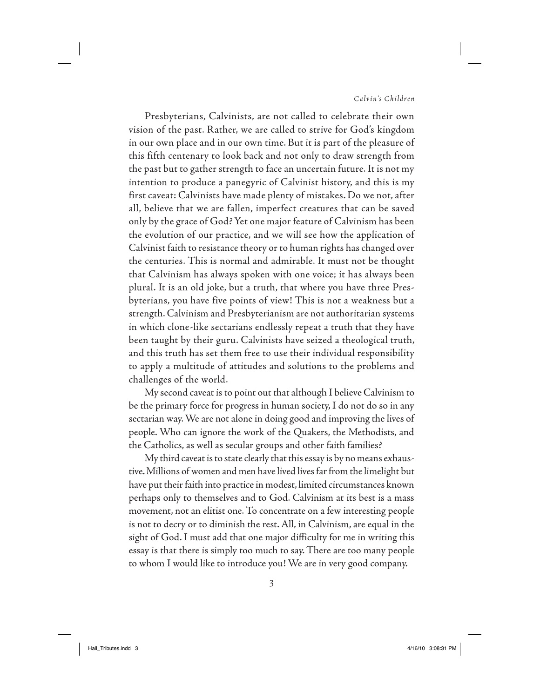Presbyterians, Calvinists, are not called to celebrate their own vision of the past. Rather, we are called to strive for God's kingdom in our own place and in our own time. But it is part of the pleasure of this fifth centenary to look back and not only to draw strength from the past but to gather strength to face an uncertain future. It is not my intention to produce a panegyric of Calvinist history, and this is my first caveat: Calvinists have made plenty of mistakes. Do we not, after all, believe that we are fallen, imperfect creatures that can be saved only by the grace of God? Yet one major feature of Calvinism has been the evolution of our practice, and we will see how the application of Calvinist faith to resistance theory or to human rights has changed over the centuries. This is normal and admirable. It must not be thought that Calvinism has always spoken with one voice; it has always been plural. It is an old joke, but a truth, that where you have three Presbyterians, you have five points of view! This is not a weakness but a strength.Calvinism and Presbyterianism are not authoritarian systems in which clone-like sectarians endlessly repeat a truth that they have been taught by their guru. Calvinists have seized a theological truth, and this truth has set them free to use their individual responsibility to apply a multitude of attitudes and solutions to the problems and challenges of the world.

My second caveat is to point out that although I believe Calvinism to be the primary force for progress in human society,I do not do so in any sectarian way.We are not alone in doing good and improving the lives of people. Who can ignore the work of the Quakers, the Methodists, and the Catholics, as well as secular groups and other faith families?

My third caveat is to state clearly that this essay is by no means exhaustive. Millions of women and men have lived lives far from the limelight but have put their faith into practice in modest, limited circumstances known perhaps only to themselves and to God. Calvinism at its best is a mass movement, not an elitist one. To concentrate on a few interesting people is not to decry or to diminish the rest. All, in Calvinism, are equal in the sight of God. I must add that one major difficulty for me in writing this essay is that there is simply too much to say. There are too many people to whom I would like to introduce you! We are in very good company.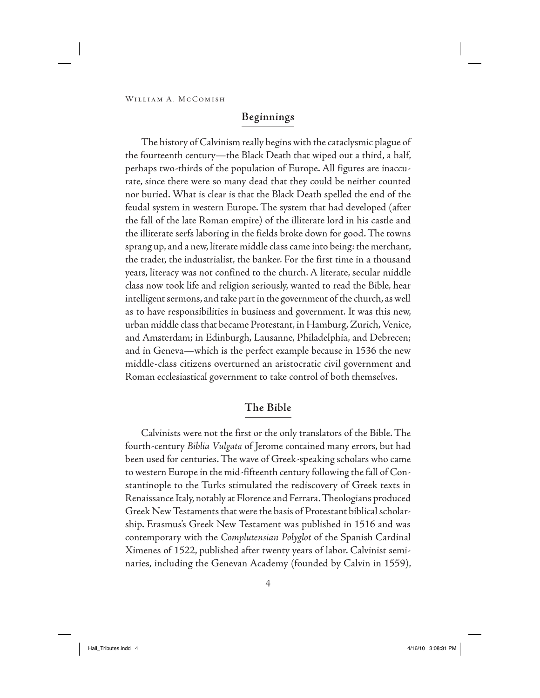## **Beginnings**

The history of Calvinism really begins with the cataclysmic plague of the fourteenth century—the Black Death that wiped out a third, a half, perhaps two-thirds of the population of Europe. All figures are inaccurate, since there were so many dead that they could be neither counted nor buried. What is clear is that the Black Death spelled the end of the feudal system in western Europe. The system that had developed (after the fall of the late Roman empire) of the illiterate lord in his castle and the illiterate serfs laboring in the fields broke down for good. The towns sprang up, and a new, literate middle class came into being: the merchant, the trader, the industrialist, the banker. For the first time in a thousand years, literacy was not confined to the church. A literate, secular middle class now took life and religion seriously, wanted to read the Bible, hear intelligent sermons, and take part in the government of the church, as well as to have responsibilities in business and government. It was this new, urban middle class that became Protestant, in Hamburg, Zurich, Venice, and Amsterdam; in Edinburgh, Lausanne, Philadelphia, and Debrecen; and in Geneva—which is the perfect example because in 1536 the new middle-class citizens overturned an aristocratic civil government and Roman ecclesiastical government to take control of both themselves.

## **The Bible**

Calvinists were not the first or the only translators of the Bible. The fourth-century Biblia Vulgata of Jerome contained many errors, but had been used for centuries.The wave of Greek-speaking scholars who came to western Europe in the mid-fifteenth century following the fall of Constantinople to the Turks stimulated the rediscovery of Greek texts in Renaissance Italy, notably at Florence and Ferrara. Theologians produced Greek New Testaments that were the basis of Protestant biblical scholarship. Erasmus's Greek New Testament was published in 1516 and was contemporary with the Complutensian Polyglot of the Spanish Cardinal Ximenes of 1522, published after twenty years of labor. Calvinist seminaries, including the Genevan Academy (founded by Calvin in 1559),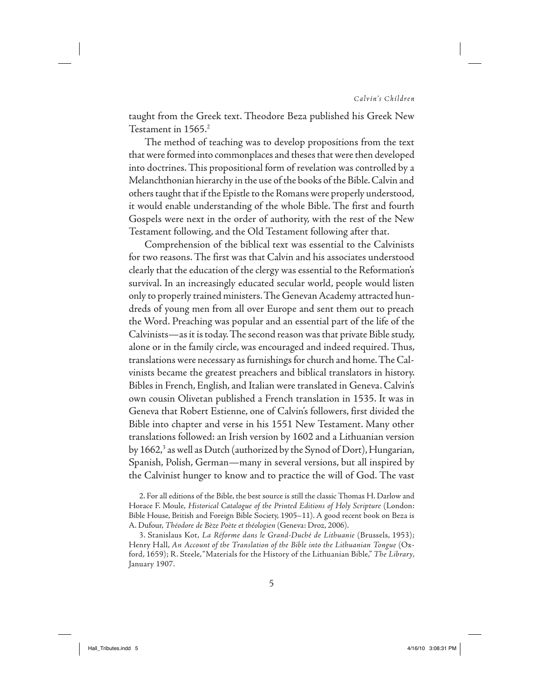taught from the Greek text. Theodore Beza published his Greek New Testament in  $1565<sup>2</sup>$ 

The method of teaching was to develop propositions from the text that were formed into commonplaces and theses that were then developed into doctrines.This propositional form of revelation was controlled by a Melanchthonian hierarchy in the use of the books of the Bible.Calvin and others taught that if the Epistle to the Romans were properly understood, it would enable understanding of the whole Bible. The first and fourth Gospels were next in the order of authority, with the rest of the New Testament following, and the Old Testament following after that.

Comprehension of the biblical text was essential to the Calvinists for two reasons. The first was that Calvin and his associates understood clearly that the education of the clergy was essential to the Reformation's survival. In an increasingly educated secular world, people would listen only to properly trained ministers. The Genevan Academy attracted hundreds of young men from all over Europe and sent them out to preach the Word. Preaching was popular and an essential part of the life of the Calvinists—as it is today.The second reason was that private Bible study, alone or in the family circle, was encouraged and indeed required. Thus, translations were necessary as furnishings for church and home. The Calvinists became the greatest preachers and biblical translators in history. Bibles in French, English, and Italian were translated in Geneva.Calvin's own cousin Olivetan published a French translation in 1535. It was in Geneva that Robert Estienne, one of Calvin's followers, first divided the Bible into chapter and verse in his 1551 New Testament. Many other translations followed: an Irish version by 1602 and a Lithuanian version by 1662, <sup>3</sup> aswell as Dutch (authorized by the Synod of Dort),Hungarian, Spanish, Polish, German—many in several versions, but all inspired by the Calvinist hunger to know and to practice the will of God. The vast

2. For all editions of the Bible, the best source is still the classic Thomas H. Darlow and Horace F. Moule, Historical Catalogue of the Printed Editions of Holy Scripture (London: Bible House, British and Foreign Bible Society, 1905–11). A good recent book on Beza is A. Dufour, Théodore de Bèze Poète et théologien (Geneva: Droz, 2006).

3. Stanislaus Kot, La Réforme dans le Grand-Duché de Lithuanie (Brussels, 1953); Henry Hall, An Account of the Translation of the Bible into the Lithuanian Tongue (Oxford, 1659); R. Steele,"Materials for the History of the Lithuanian Bible," The Library, January 1907.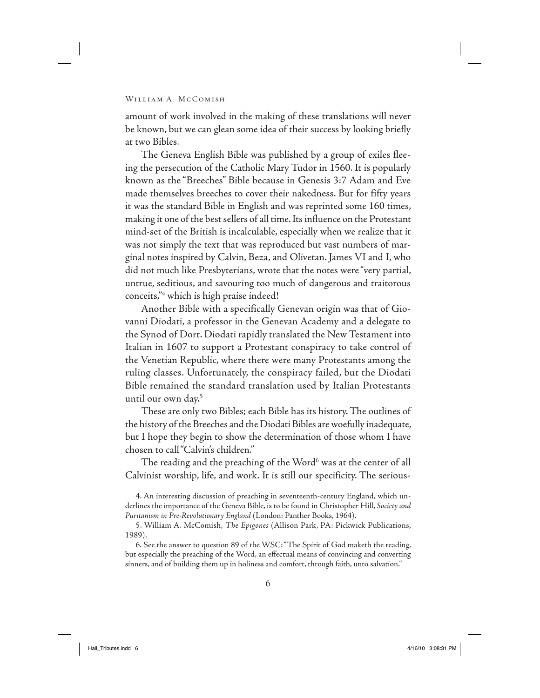amount of work involved in the making of these translations will never be known, but we can glean some idea of their success by looking briefly at two Bibles.

The Geneva English Bible was published by a group of exiles fleeing the persecution of the Catholic Mary Tudor in 1560. It is popularly known as the"Breeches" Bible because in Genesis 3:7 Adam and Eve made themselves breeches to cover their nakedness. But for fifty years it was the standard Bible in English and was reprinted some 160 times, making it one of the best sellers of all time.Its influence on the Protestant mind-set of the British is incalculable, especially when we realize that it was not simply the text that was reproduced but vast numbers of marginal notes inspired by Calvin, Beza, and Olivetan. James VI and I, who did not much like Presbyterians, wrote that the notes were "very partial, untrue, seditious, and savouring too much of dangerous and traitorous conceits," 4 which is high praise indeed!

Another Bible with a specifically Genevan origin was that of Giovanni Diodati, a professor in the Genevan Academy and a delegate to the Synod of Dort. Diodati rapidly translated the New Testament into Italian in 1607 to support a Protestant conspiracy to take control of the Venetian Republic, where there were many Protestants among the ruling classes. Unfortunately, the conspiracy failed, but the Diodati Bible remained the standard translation used by Italian Protestants until our own day. 5

These are only two Bibles; each Bible has its history. The outlines of the history of the Breeches and the Diodati Bibles arewoefully inadequate, but I hope they begin to show the determination of those whom I have chosen to call "Calvin's children."

The reading and the preaching of the Word $6\,$  was at the center of all Calvinist worship, life, and work. It is still our specificity. The serious-

<sup>4.</sup> An interesting discussion of preaching in seventeenth-century England, which underlines the importance of the Geneva Bible, is to be found in Christopher Hill, Society and Puritanism in Pre-Revolutionary England (London: Panther Books, 1964).

<sup>5.</sup> William A. McComish, The Epigones (Allison Park, PA: Pickwick Publications, 1989).

<sup>6.</sup> See the answer to question 89 of the WSC:"The Spirit of God maketh the reading, but especially the preaching of the Word, an effectual means of convincing and converting sinners, and of building them up in holiness and comfort, through faith, unto salvation."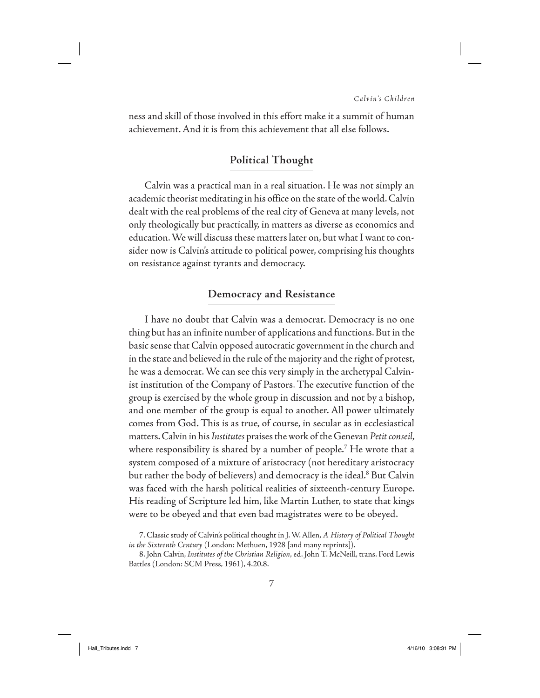ness and skill of those involved in this effort make it a summit of human achievement. And it is from this achievement that all else follows.

## **Political Thought**

Calvin was a practical man in a real situation. He was not simply an academic theorist meditating in his office on the state of the world. Calvin dealt with the real problems of the real city of Geneva at many levels, not only theologically but practically, in matters as diverse as economics and education.We will discuss these matters later on, but what I want to consider now is Calvin's attitude to political power, comprising his thoughts on resistance against tyrants and democracy.

## **Democracy and Resistance**

I have no doubt that Calvin was a democrat. Democracy is no one thing but has an infinite number of applications and functions.But in the basic sense that Calvin opposed autocratic government in the church and in the state and believed in the rule of the majority and the right of protest, he was a democrat.We can see this very simply in the archetypal Calvinist institution of the Company of Pastors. The executive function of the group is exercised by the whole group in discussion and not by a bishop, and one member of the group is equal to another. All power ultimately comes from God. This is as true, of course, in secular as in ecclesiastical matters. Calvin in his Institutes praises the work of the Genevan Petit conseil, where responsibility is shared by a number of people. <sup>7</sup> He wrote that a system composed of a mixture of aristocracy (not hereditary aristocracy but rather the body of believers) and democracy is the ideal.<sup>8</sup> But Calvin was faced with the harsh political realities of sixteenth-century Europe. His reading of Scripture led him, like Martin Luther, to state that kings were to be obeyed and that even bad magistrates were to be obeyed.

<sup>7.</sup>Classic study of Calvin's political thought in J.W. Allen, A History of Political Thought in the Sixteenth Century (London: Methuen, 1928 [and many reprints]).

<sup>8.</sup> John Calvin*, Institutes of the Christian Religion,* ed. John T. McNeill, trans. Ford Lewis Battles (London: SCM Press, 1961), 4.20.8.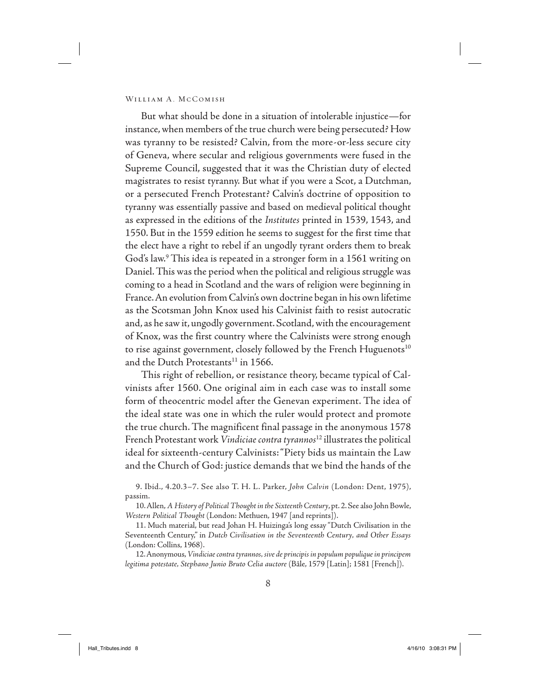But what should be done in a situation of intolerable injustice—for instance,when members of the true church were being persecuted? How was tyranny to be resisted? Calvin, from the more-or-less secure city of Geneva, where secular and religious governments were fused in the Supreme Council, suggested that it was the Christian duty of elected magistrates to resist tyranny. But what if you were a Scot, a Dutchman, or a persecuted French Protestant? Calvin's doctrine of opposition to tyranny was essentially passive and based on medieval political thought as expressed in the editions of the Institutes printed in 1539, 1543, and 1550. But in the 1559 edition he seems to suggest for the first time that the elect have a right to rebel if an ungodly tyrant orders them to break God's law. <sup>9</sup> This idea is repeated in a stronger form in a 1561 writing on Daniel.This was the period when the political and religious struggle was coming to a head in Scotland and the wars of religion were beginning in France.An evolution from Calvin's own doctrine began in his own lifetime as the Scotsman John Knox used his Calvinist faith to resist autocratic and, as he saw it, ungodly government. Scotland, with the encouragement of Knox, was the first country where the Calvinists were strong enough to rise against government, closely followed by the French Huguenots $10$ and the Dutch Protestants $^{11}$  in 1566.

This right of rebellion, or resistance theory, became typical of Calvinists after 1560. One original aim in each case was to install some form of theocentric model after the Genevan experiment. The idea of the ideal state was one in which the ruler would protect and promote the true church. The magnificent final passage in the anonymous 1578 French Protestant work *Vindiciae contra tyrannos<sup>12</sup> illustrates the political* ideal for sixteenth-century Calvinists: "Piety bids us maintain the Law and the Church of God: justice demands that we bind the hands of the

9. Ibid., 4.20.3–7. See also T. H. L. Parker, John Calvin (London: Dent, 1975), passim.

10.Allen, A History of Political Thought in the Sixteenth Century, pt. 2.See also John Bowle, Western Political Thought (London: Methuen, 1947 [and reprints]).

11. Much material, but read Johan H. Huizinga's long essay "Dutch Civilisation in the Seventeenth Century," in Dutch Civilisation in the Seventeenth Century, and Other Essays (London: Collins, 1968).

12.Anonymous,Vindiciaecontra tyrannos, sive de principis in populum populiquein principem legitima potestate, Stephano Junio Bruto Celia auctore (Bâle, 1579 [Latin]; 1581 [French]).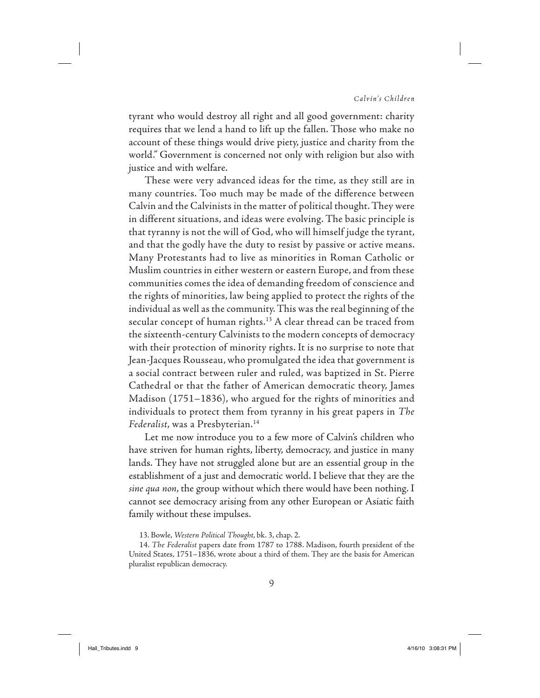tyrant who would destroy all right and all good government: charity requires that we lend a hand to lift up the fallen. Those who make no account of these things would drive piety, justice and charity from the world." Government is concerned not only with religion but also with justice and with welfare.

These were very advanced ideas for the time, as they still are in many countries. Too much may be made of the difference between Calvin and the Calvinists in the matter of political thought.They were in different situations, and ideas were evolving. The basic principle is that tyranny is not the will of God, who will himself judge the tyrant, and that the godly have the duty to resist by passive or active means. Many Protestants had to live as minorities in Roman Catholic or Muslim countries in either western or eastern Europe, and from these communities comes the idea of demanding freedom of conscience and the rights of minorities, law being applied to protect the rights of the individual as well as the community. This was the real beginning of the secular concept of human rights.<sup>13</sup> A clear thread can be traced from the sixteenth-century Calvinists to the modern concepts of democracy with their protection of minority rights. It is no surprise to note that Jean-Jacques Rousseau, who promulgated the idea that government is a social contract between ruler and ruled, was baptized in St. Pierre Cathedral or that the father of American democratic theory, James Madison (1751–1836), who argued for the rights of minorities and individuals to protect them from tyranny in his great papers in The Federalist, was a Presbyterian. 14

Let me now introduce you to a few more of Calvin's children who have striven for human rights, liberty, democracy, and justice in many lands. They have not struggled alone but are an essential group in the establishment of a just and democratic world. I believe that they are the sine qua non, the group without which there would have been nothing. I cannot see democracy arising from any other European or Asiatic faith family without these impulses.

<sup>13.</sup> Bowle, Western Political Thought, bk. 3, chap. 2.

<sup>14.</sup> The Federalist papers date from 1787 to 1788. Madison, fourth president of the United States, 1751–1836, wrote about a third of them. They are the basis for American pluralist republican democracy.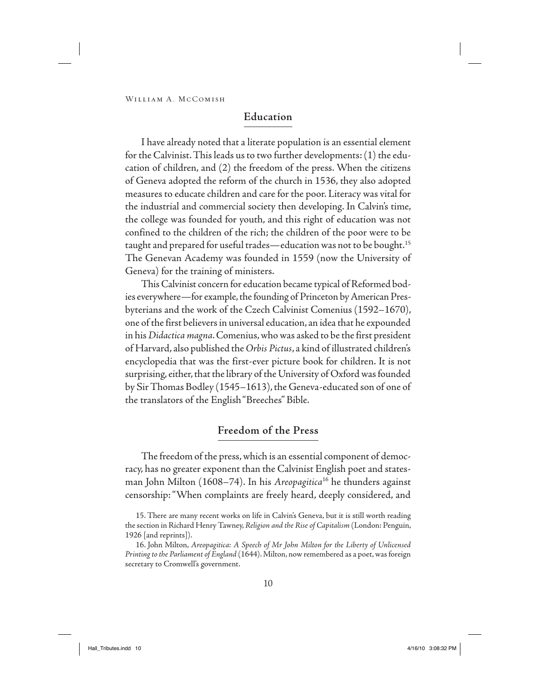## **Education**

I have already noted that a literate population is an essential element for the Calvinist. This leads us to two further developments:  $(1)$  the education of children, and (2) the freedom of the press. When the citizens of Geneva adopted the reform of the church in 1536, they also adopted measures to educate children and care for the poor. Literacy was vital for the industrial and commercial society then developing. In Calvin's time, the college was founded for youth, and this right of education was not confined to the children of the rich; the children of the poor were to be taught and prepared for useful trades—education was not to be bought. $^{15}$ The Genevan Academy was founded in 1559 (now the University of Geneva) for the training of ministers.

This Calvinist concern for education became typical of Reformed bodies everywhere—for example, the founding of Princeton by American Presbyterians and the work of the Czech Calvinist Comenius (1592–1670), one of the first believers in universal education, an idea that he expounded in his Didactica magna. Comenius, who was asked to be the first president of Harvard, also published the Orbis Pictus, a kind of illustrated children's encyclopedia that was the first-ever picture book for children. It is not surprising, either, that the library of the University of Oxford was founded by Sir Thomas Bodley (1545–1613), the Geneva-educated son of one of the translators of the English "Breeches" Bible.

## **Freedom of the Press**

The freedom of the press, which is an essential component of democracy, has no greater exponent than the Calvinist English poet and statesman John Milton (1608–74). In his *Areopagitica*16 he thunders against censorship:"When complaints are freely heard, deeply considered, and

<sup>15.</sup> There are many recent works on life in Calvin's Geneva, but it is still worth reading the section in Richard Henry Tawney, Religio*n and the Rise of Capitalism* (London: Penguin, 1926 [and reprints]).

<sup>16.</sup> John Milton, Areopagitica: A Speech of Mr John Milton for the Liberty of Unlicensed Printing to the Parliament of England (1644). Milton, now remembered as a poet, was foreign secretary to Cromwell's government.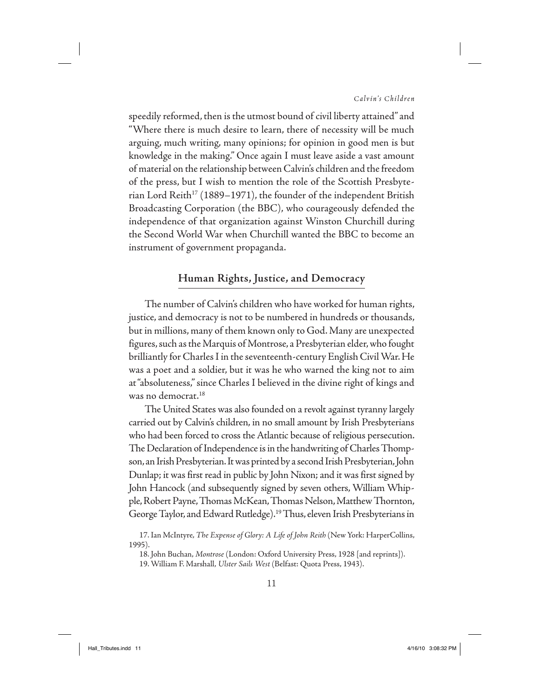speedily reformed, then is the utmost bound of civil liberty attained" and "Where there is much desire to learn, there of necessity will be much arguing, much writing, many opinions; for opinion in good men is but knowledge in the making." Once again I must leave aside a vast amount of material on the relationship between Calvin's children and the freedom of the press, but I wish to mention the role of the Scottish Presbyterian Lord Reith<sup>17</sup> (1889–1971), the founder of the independent British Broadcasting Corporation (the BBC), who courageously defended the independence of that organization against Winston Churchill during the Second World War when Churchill wanted the BBC to become an instrument of government propaganda.

## **Human Rights, Justice, and Democracy**

The number of Calvin's children who have worked for human rights, justice, and democracy is not to be numbered in hundreds or thousands, but in millions,many of them known only to God.Many are unexpected figures, such as the Marquis of Montrose, a Presbyterian elder, who fought brilliantly for Charles I in the seventeenth-century English Civil War. He was a poet and a soldier, but it was he who warned the king not to aim at "absoluteness,"since Charles I believed in the divine right of kings and was no democrat. 18

The United States was also founded on a revolt against tyranny largely carried out by Calvin's children, in no small amount by Irish Presbyterians who had been forced to cross the Atlantic because of religious persecution. The Declaration of Independence is in the handwriting of Charles Thompson, an Irish Presbyterian. It was printed by a second Irish Presbyterian, John Dunlap; it was first read in public by John Nixon; and it was first signed by John Hancock (and subsequently signed by seven others, William Whipple,RobertPayne,ThomasMcKean,Thomas Nelson,MatthewThornton, George Taylor, and Edward Rutledge).<sup>19</sup> Thus, eleven Irish Presbyterians in

<sup>17.</sup>Ian McIntyre, The Expense of Glory: A Life of John Reith (New York: HarperCollins, 1995).

<sup>18.</sup> John Buchan, Montrose (London: Oxford University Press, 1928 [and reprints]).

<sup>19.</sup>William F. Marshall, Ulster Sails West (Belfast: Quota Press, 1943).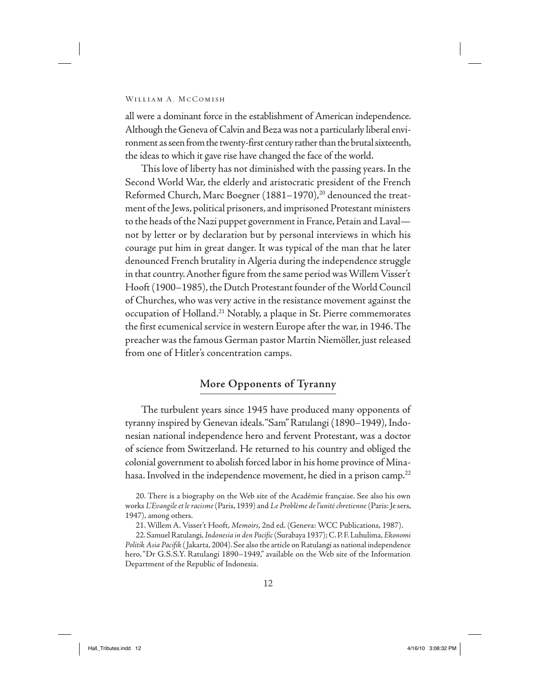all were a dominant force in the establishment of American independence. Although the Geneva of Calvin and Beza was not a particularly liberal environment as seen from the twenty-first century rather than the brutal sixteenth, the ideas to which it gave rise have changed the face of the world.

This love of liberty has not diminished with the passing years. In the Second World War, the elderly and aristocratic president of the French Reformed Church, Marc Boegner (1881–1970),<sup>20</sup> denounced the treatment of theJews, political prisoners, and imprisoned Protestant ministers to the heads of the Nazi puppet governmentin France,Petain and Laval not by letter or by declaration but by personal interviews in which his courage put him in great danger. It was typical of the man that he later denounced French brutality in Algeria during the independence struggle in that country. Another figure from the same period was Willem Visser't Hooft (1900–1985), the Dutch Protestant founder of the World Council of Churches, who was very active in the resistance movement against the occupation of Holland. <sup>21</sup> Notably, a plaque in St. Pierre commemorates the first ecumenical service in western Europe after the war, in 1946.The preacher was the famous German pastor Martin Niemöller, just released from one of Hitler's concentration camps.

## **More Opponents of Tyranny**

The turbulent years since 1945 have produced many opponents of tyranny inspired by Genevan ideals."Sam"Ratulangi (1890–1949),Indonesian national independence hero and fervent Protestant, was a doctor of science from Switzerland. He returned to his country and obliged the colonial government to abolish forced laborin his home province of Minahasa. Involved in the independence movement, he died in a prison camp. $^\mathrm{22}$ 

20. There is a biography on the Web site of the Académie française. See also his own works L'Evangile et le racisme (Paris, 1939) and Le Problème de l'unité chretienne (Paris: Je sers, 1947), among others.

21.Willem A. Visser't Hooft, Memoirs, 2nd ed. (Geneva: WCC Publications, 1987).

22. Samuel Ratulangi, Indonesia in den Pacific (Surabaya 1937); C.P.F. Luhulima, Ekonomi Politik Asia Pacifik (Jakarta, 2004). See also the article on Ratulangi as national independence hero,"Dr G.S.S.Y. Ratulangi 1890–1949," available on the Web site of the Information Department of the Republic of Indonesia.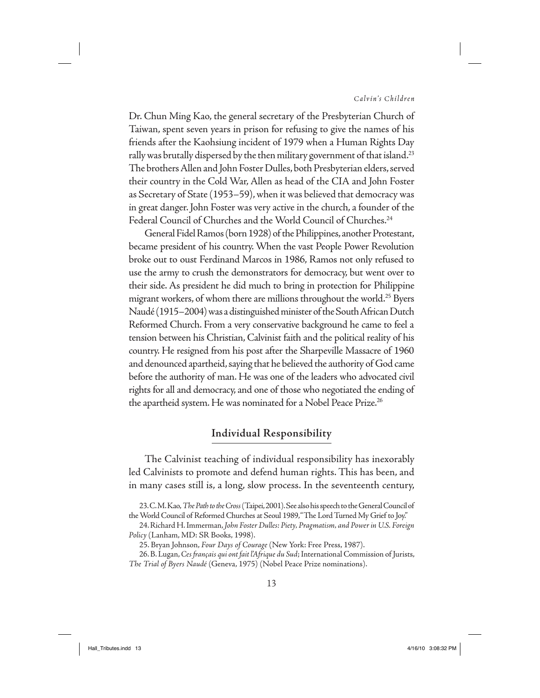Dr. Chun Ming Kao, the general secretary of the Presbyterian Church of Taiwan, spent seven years in prison for refusing to give the names of his friends after the Kaohsiung incident of 1979 when a Human Rights Day rally was brutally dispersed by the then military government of that island. $^{23}$ The brothers Allen and John Foster Dulles, both Presbyterian elders, served their country in the Cold War, Allen as head of the CIA and John Foster as Secretary of State (1953–59), when it was believed that democracy was in great danger. John Foster was very active in the church, a founder of the Federal Council of Churches and the World Council of Churches.<sup>24</sup>

General Fidel Ramos (born 1928) of the Philippines, another Protestant, became president of his country.When the vast People Power Revolution broke out to oust Ferdinand Marcos in 1986, Ramos not only refused to use the army to crush the demonstrators for democracy, but went over to their side. As president he did much to bring in protection for Philippine migrant workers, of whom there are millions throughout the world. <sup>25</sup> Byers Naudé (1915–2004) was a distinguished minister of the South African Dutch Reformed Church. From a very conservative background he came to feel a tension between his Christian,Calvinist faith and the political reality of his country. He resigned from his post after the Sharpeville Massacre of 1960 and denounced apartheid, saying that he believed the authority of God came before the authority of man. He was one of the leaders who advocated civil rights for all and democracy, and one of those who negotiated the ending of the apartheid system. He was nominated for a Nobel Peace Prize.<sup>26</sup>

## **Individual Responsibility**

The Calvinist teaching of individual responsibility has inexorably led Calvinists to promote and defend human rights. This has been, and in many cases still is, a long, slow process. In the seventeenth century,

23. C.M. Kao, The Path to the Cross (Taipei, 2001). See also his speech to the General Council of the World Council of Reformed Churches at Seoul 1989, "The Lord Turned My Grief to Joy."

24.Richard H.Immerman,John Foster Dulles: Piety, Pragmatism, and Powerin U.S. Foreign Policy (Lanham, MD: SR Books, 1998).

25. Bryan Johnson, Four Days of Courage (New York: Free Press, 1987).

26. B. Lugan, Ces français qui ont fait l'Afrique du Sud; International Commission of Jurists, The Trial of Byers Naudé (Geneva, 1975) (Nobel Peace Prize nominations).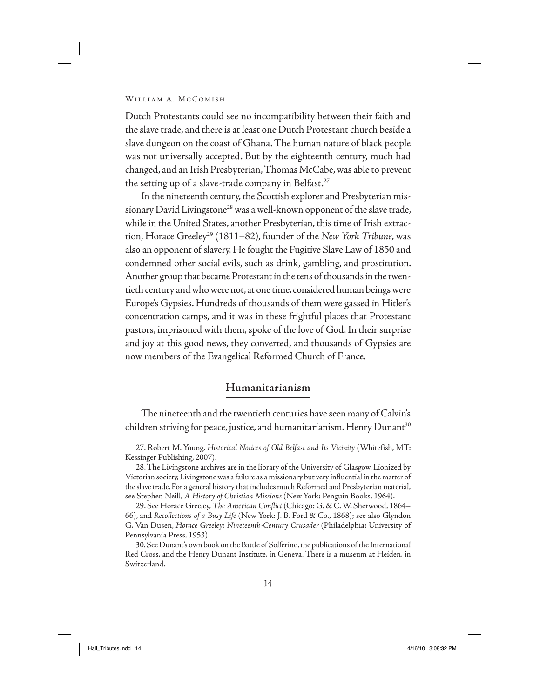Dutch Protestants could see no incompatibility between their faith and the slave trade, and there is at least one Dutch Protestant church beside a slave dungeon on the coast of Ghana.The human nature of black people was not universally accepted. But by the eighteenth century, much had changed, and an Irish Presbyterian,Thomas McCabe,was ableto prevent the setting up of a slave-trade company in Belfast.<sup>27</sup>

In the nineteenth century, the Scottish explorer and Presbyterian missionary David Livingstone<sup>28</sup> was a well-known opponent of the slave trade, while in the United States, another Presbyterian, this time of Irish extraction, Horace Greeley<sup>29</sup> (1811–82), founder of the New York Tribune, was also an opponent of slavery. He fought the Fugitive Slave Law of 1850 and condemned other social evils, such as drink, gambling, and prostitution. Another group that became Protestant in the tens of thousands in the twentieth century and who were not, at one time, considered human beings were Europe's Gypsies. Hundreds of thousands of them were gassed in Hitler's concentration camps, and it was in these frightful places that Protestant pastors, imprisoned with them, spoke of the love of God. In their surprise and joy at this good news, they converted, and thousands of Gypsies are now members of the Evangelical Reformed Church of France.

## **Humanitarianism**

The nineteenth and the twentieth centuries have seen many of Calvin's children striving for peace, justice, and humanitarianism. Henry Dunant $^{\text{30}}$ 

27. Robert M. Young, Historical Notices of Old Belfast and Its Vicinity (Whitefish, MT: Kessinger Publishing, 2007).

28.The Livingstone archives are in the library of the University of Glasgow. Lionized by Victorian society,Livingstonewas a failure as a missionary but very influential in the matter of the slave trade. For a general history that includes much Reformed and Presbyterian material, see Stephen Neill, A History of Christian Missions (New York: Penguin Books, 1964).

29. See Horace Greeley, The American Conflict (Chicago: G. & C.W. Sherwood, 1864– 66), and Recollections of a Busy Life (New York: J. B. Ford & Co., 1868); see also Glyndon G. Van Dusen, Horace Greeley: Nineteenth-Century Crusader (Philadelphia: University of Pennsylvania Press, 1953).

30. See Dunant's own book on the Battle of Solferino, the publications of the International Red Cross, and the Henry Dunant Institute, in Geneva. There is a museum at Heiden, in Switzerland.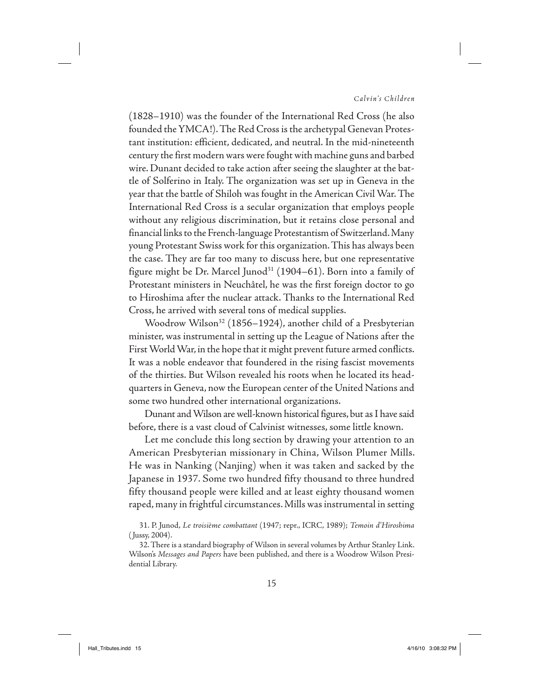(1828–1910) was the founder of the International Red Cross (he also founded the YMCA!). The Red Cross is the archetypal Genevan Protestant institution: efficient, dedicated, and neutral. In the mid-nineteenth century the first modern wars were fought with machine guns and barbed wire. Dunant decided to take action after seeing the slaughter at the battle of Solferino in Italy. The organization was set up in Geneva in the year that the battle of Shiloh was fought in the American Civil War.The International Red Cross is a secular organization that employs people without any religious discrimination, but it retains close personal and financial linksto the French-language Protestantismof Switzerland.Many young Protestant Swiss work for this organization.This has always been the case. They are far too many to discuss here, but one representative figure might be Dr. Marcel Junod $31$  (1904–61). Born into a family of Protestant ministers in Neuchâtel, he was the first foreign doctor to go to Hiroshima after the nuclear attack. Thanks to the International Red Cross, he arrived with several tons of medical supplies.

Woodrow Wilson<sup>32</sup> (1856–1924), another child of a Presbyterian minister, was instrumental in setting up the League of Nations after the First World War, in the hope that it might prevent future armed conflicts. It was a noble endeavor that foundered in the rising fascist movements of the thirties. But Wilson revealed his roots when he located its headquarters in Geneva, now the European center of the United Nations and some two hundred other international organizations.

Dunant and Wilson are well-known historical figures, but as I have said before, there is a vast cloud of Calvinist witnesses, some little known.

Let me conclude this long section by drawing your attention to an American Presbyterian missionary in China, Wilson Plumer Mills. He was in Nanking (Nanjing) when it was taken and sacked by the Japanese in 1937. Some two hundred fifty thousand to three hundred fifty thousand people were killed and at least eighty thousand women raped, many in frightful circumstances. Mills was instrumental in setting

<sup>31.</sup> P. Junod, Le troisième combattant (1947; repr., ICRC, 1989); Temoin d'Hiroshima (Jussy, 2004).

<sup>32.</sup>There is a standard biography of Wilson in several volumes by Arthur Stanley Link. Wilson's Messages and Papers have been published, and there is a Woodrow Wilson Presidential Library.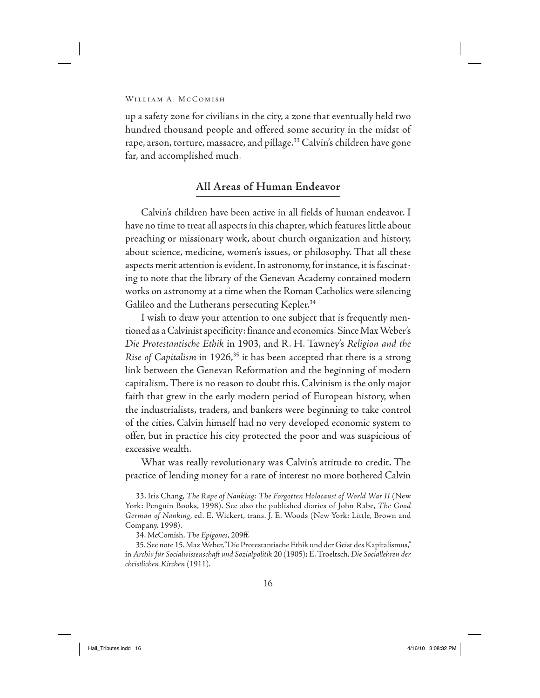up a safety zone for civilians in the city, a zone that eventually held two hundred thousand people and offered some security in the midst of rape, arson, torture, massacre, and pillage. <sup>33</sup> Calvin's children have gone far, and accomplished much.

## **All Areas of Human Endeavor**

Calvin's children have been active in all fields of human endeavor. I have no time to treat all aspects in this chapter, which features little about preaching or missionary work, about church organization and history, about science, medicine, women's issues, or philosophy. That all these aspects merit attention is evident. In astronomy, for instance, it is fascinating to note that the library of the Genevan Academy contained modern works on astronomy at a time when the Roman Catholics were silencing Galileo and the Lutherans persecuting Kepler.<sup>34</sup>

I wish to draw your attention to one subject that is frequently mentioned as a Calvinist specificity: finance and economics. Since Max Weber's Die Protestantische Ethik in 1903, and R. H. Tawney's Religion and the Rise of Capitalism in 1926,<sup>35</sup> it has been accepted that there is a strong link between the Genevan Reformation and the beginning of modern capitalism. There is no reason to doubt this. Calvinism is the only major faith that grew in the early modern period of European history, when the industrialists, traders, and bankers were beginning to take control of the cities. Calvin himself had no very developed economic system to offer, but in practice his city protected the poor and was suspicious of excessive wealth.

What was really revolutionary was Calvin's attitude to credit. The practice of lending money for a rate of interest no more bothered Calvin

33. Iris Chang, The Rape of Nanking: The Forgotten Holocaust of World War II (New York: Penguin Books, 1998). See also the published diaries of John Rabe, The Good German of Nanking, ed. E. Wickert, trans. J. E. Woods (New York: Little, Brown and Company, 1998).

34. McComish, The Epigones, 209ff.

35.See note 15.MaxWeber,"Die Protestantische Ethik und der Geist des Kapitalismus," in Archiv für Socialwissenschaft und Sozialpolitik 20 (1905); E.Troeltsch, Die Sociallehren der christlichen Kirchen (1911).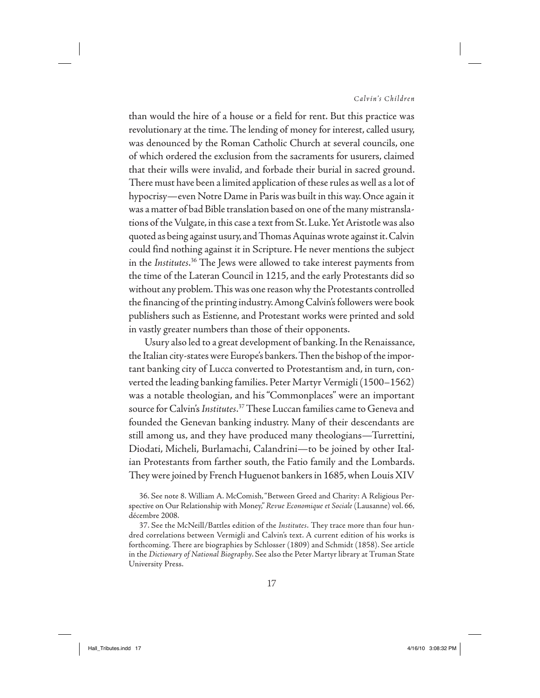than would the hire of a house or a field for rent. But this practice was revolutionary at the time. The lending of money for interest, called usury, was denounced by the Roman Catholic Church at several councils, one of which ordered the exclusion from the sacraments for usurers, claimed that their wills were invalid, and forbade their burial in sacred ground. There must have been a limited application of these rules as well as a lot of hypocrisy—even Notre Dame in Paris was built in this way. Once again it was a matter of bad Bible translation based on one of the many mistranslations of the Vulgate, in this case a text from St. Luke. Yet Aristotle was also quoted as being against usury, and Thomas Aquinas wrote against it. Calvin could find nothing against it in Scripture. He never mentions the subject in the Institutes. <sup>36</sup> The Jews were allowed to take interest payments from the time of the Lateran Council in 1215, and the early Protestants did so without any problem. This was one reason why the Protestants controlled the financing of the printing industry. Among Calvin's followers were book publishers such as Estienne, and Protestant works were printed and sold in vastly greater numbers than those of their opponents.

Usury also led to a great development of banking.In the Renaissance, the Italian city-states were Europe's bankers. Then the bishop of the important banking city of Lucca converted to Protestantism and, in turn,converted the leading banking families.Peter Martyr Vermigli (1500–1562) was a notable theologian, and his"Commonplaces" were an important source for Calvin's I*nstitutes*.<sup>37</sup> These Luccan families came to Geneva and founded the Genevan banking industry. Many of their descendants are still among us, and they have produced many theologians—Turrettini, Diodati, Micheli, Burlamachi, Calandrini—to be joined by other Italian Protestants from farther south, the Fatio family and the Lombards. They were joined by French Huguenot bankers in 1685, when Louis XIV

<sup>36.</sup> See note 8. William A. McComish,"Between Greed and Charity: A Religious Perspective on Our Relationship with Money,"Revue Economique et Sociale (Lausanne) vol. 66, décembre 2008.

<sup>37.</sup> See the McNeill/Battles edition of the Institutes. They trace more than four hundred correlations between Vermigli and Calvin's text. A current edition of his works is forthcoming. There are biographies by Schlosser (1809) and Schmidt (1858). See article in the Dictionary of National Biography. See also the Peter Martyr library at Truman State University Press.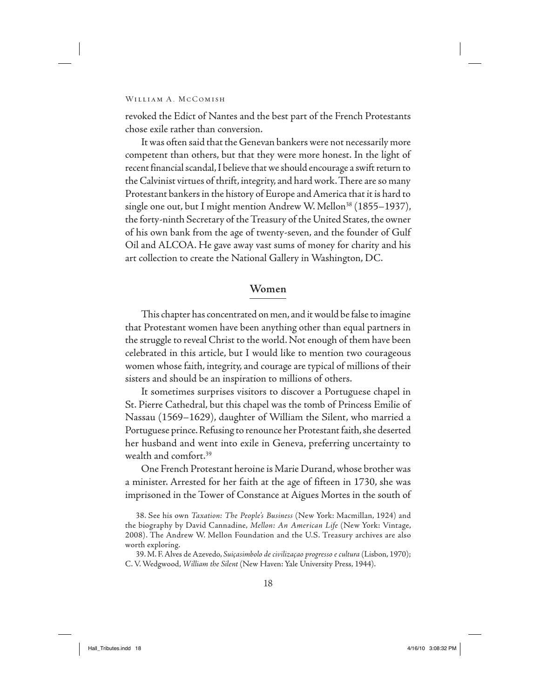revoked the Edict of Nantes and the best part of the French Protestants chose exile rather than conversion.

It was often said that the Genevan bankers were not necessarily more competent than others, but that they were more honest. In the light of recent financial scandal, I believe that we should encourage a swift return to theCalvinist virtues of thrift, integrity, and hardwork.There areso many Protestant bankers in the history of Europe and America that it is hard to single one out, but I might mention Andrew W. Mellon<sup>38</sup> (1855–1937), the forty-ninth Secretary of the Treasury of the United States, the owner of his own bank from the age of twenty-seven, and the founder of Gulf Oil and ALCOA. He gave away vast sums of money for charity and his art collection to create the National Gallery in Washington, DC.

## **Women**

This chapter has concentrated on men, and it would be false to imagine that Protestant women have been anything other than equal partners in the struggle to reveal Christ to the world. Not enough of them have been celebrated in this article, but I would like to mention two courageous women whose faith, integrity, and courage are typical of millions of their sisters and should be an inspiration to millions of others.

It sometimes surprises visitors to discover a Portuguese chapel in St. Pierre Cathedral, but this chapel was the tomb of Princess Emilie of Nassau (1569–1629), daughter of William the Silent, who married a Portuguese prince. Refusing to renounce her Protestant faith, she deserted her husband and went into exile in Geneva, preferring uncertainty to wealth and comfort. 39

One French Protestant heroine is Marie Durand, whose brother was a minister. Arrested for her faith at the age of fifteen in 1730, she was imprisoned in the Tower of Constance at Aigues Mortes in the south of

<sup>38.</sup> See his own Taxation: The People's Business (New York: Macmillan, 1924) and the biography by David Cannadine, Mellon: An American Life (New York: Vintage, 2008). The Andrew W. Mellon Foundation and the U.S. Treasury archives are also worth exploring.

<sup>39.</sup> M. F.Alves de Azevedo, Suiçasimbolo de civilizaçao progresso e cultura (Lisbon, 1970); C. V.Wedgwood, William the Silent (New Haven: Yale University Press, 1944).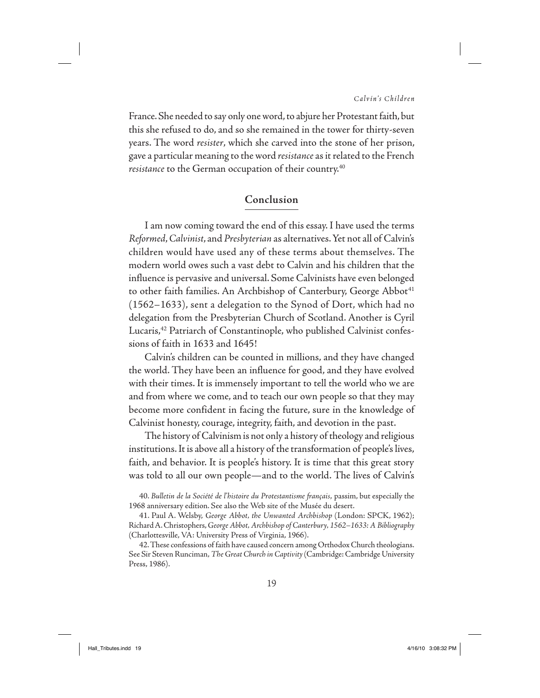France. She needed to say only one word, to abjure her Protestant faith, but this she refused to do, and so she remained in the tower for thirty-seven years. The word resister, which she carved into the stone of her prison, gave a particular meaning to the word resistance as it related to the French *resistance* to the German occupation of their country. $^{40}$ 

## **Conclusion**

I am now coming toward the end of this essay.I have used the terms Reformed,Calvinist, and Presbyterian as alternatives.Yet not all of Calvin's children would have used any of these terms about themselves. The modern world owes such a vast debt to Calvin and his children that the influence is pervasive and universal. Some Calvinists have even belonged to other faith families. An Archbishop of Canterbury, George Abbot $41$ (1562–1633), sent a delegation to the Synod of Dort, which had no delegation from the Presbyterian Church of Scotland. Another is Cyril Lucaris, <sup>42</sup> Patriarch of Constantinople, who published Calvinist confessions of faith in 1633 and 1645!

Calvin's children can be counted in millions, and they have changed the world. They have been an influence for good, and they have evolved with their times. It is immensely important to tell the world who we are and from where we come, and to teach our own people so that they may become more confident in facing the future, sure in the knowledge of Calvinist honesty, courage, integrity, faith, and devotion in the past.

The history of Calvinism is not only a history of theology and religious institutions. It is above all a history of the transformation of people's lives, faith, and behavior. It is people's history. It is time that this great story was told to all our own people—and to the world. The lives of Calvin's

<sup>40.</sup> Bulletin de la Société de l'histoire du Protestantisme français, passim, but especially the 1968 anniversary edition. See also the Web site of the Musée du desert.

<sup>41.</sup> Paul A. Welsby, George Abbot, the Unwanted Archbishop (London: SPCK, 1962); RichardA.Christophers,George Abbot, Archbishop of Canterbury, 1562–1633: A Bibliography (Charlottesville, VA: University Press of Virginia, 1966).

<sup>42.</sup> These confessions of faith have caused concern among Orthodox Church theologians. See Sir Steven Runciman, The Great Church in Captivity (Cambridge: Cambridge University Press, 1986).